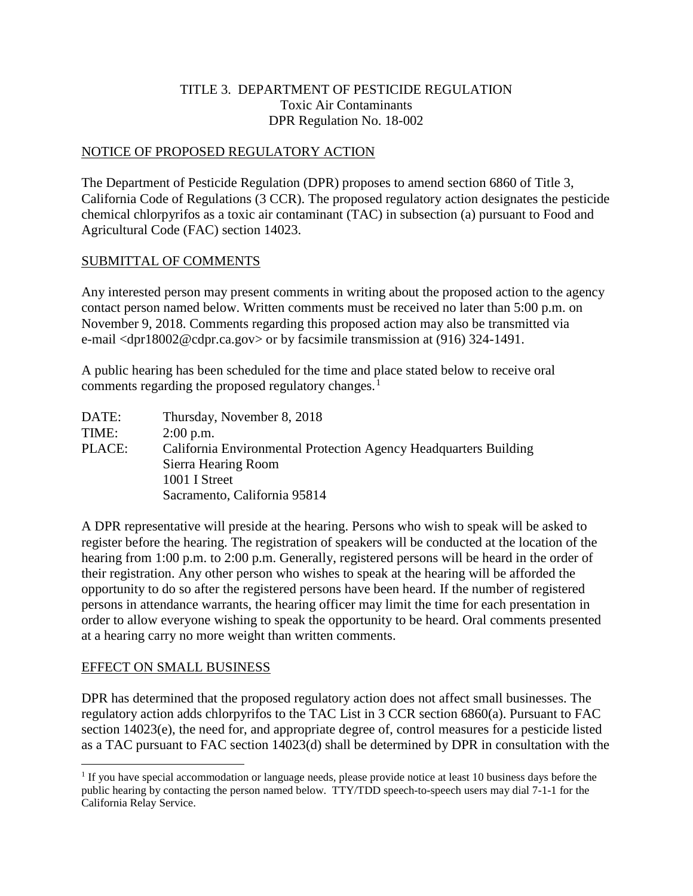## TITLE 3. DEPARTMENT OF PESTICIDE REGULATION Toxic Air Contaminants DPR Regulation No. 18-002

## NOTICE OF PROPOSED REGULATORY ACTION

The Department of Pesticide Regulation (DPR) proposes to amend section 6860 of Title 3, California Code of Regulations (3 CCR). The proposed regulatory action designates the pesticide chemical chlorpyrifos as a toxic air contaminant (TAC) in subsection (a) pursuant to Food and Agricultural Code (FAC) section 14023.

#### SUBMITTAL OF COMMENTS

Any interested person may present comments in writing about the proposed action to the agency contact person named below. Written comments must be received no later than 5:00 p.m. on November 9, 2018. Comments regarding this proposed action may also be transmitted via e-mail <dpr18002@cdpr.ca.gov> or by facsimile transmission at (916) 324-1491.

A public hearing has been scheduled for the time and place stated below to receive oral comments regarding the proposed regulatory changes.<sup>[1](#page-0-0)</sup>

| DATE:  | Thursday, November 8, 2018                                       |
|--------|------------------------------------------------------------------|
| TIME:  | $2:00$ p.m.                                                      |
| PLACE: | California Environmental Protection Agency Headquarters Building |
|        | Sierra Hearing Room                                              |
|        | 1001 I Street                                                    |
|        | Sacramento, California 95814                                     |

A DPR representative will preside at the hearing. Persons who wish to speak will be asked to register before the hearing. The registration of speakers will be conducted at the location of the hearing from 1:00 p.m. to 2:00 p.m. Generally, registered persons will be heard in the order of their registration. Any other person who wishes to speak at the hearing will be afforded the opportunity to do so after the registered persons have been heard. If the number of registered persons in attendance warrants, the hearing officer may limit the time for each presentation in order to allow everyone wishing to speak the opportunity to be heard. Oral comments presented at a hearing carry no more weight than written comments.

#### EFFECT ON SMALL BUSINESS

DPR has determined that the proposed regulatory action does not affect small businesses. The regulatory action adds chlorpyrifos to the TAC List in 3 CCR section 6860(a). Pursuant to FAC section 14023(e), the need for, and appropriate degree of, control measures for a pesticide listed as a TAC pursuant to FAC section 14023(d) shall be determined by DPR in consultation with the

<span id="page-0-0"></span> $\overline{a}$  $1$  If you have special accommodation or language needs, please provide notice at least 10 business days before the public hearing by contacting the person named below. TTY/TDD speech-to-speech users may dial 7-1-1 for the California Relay Service.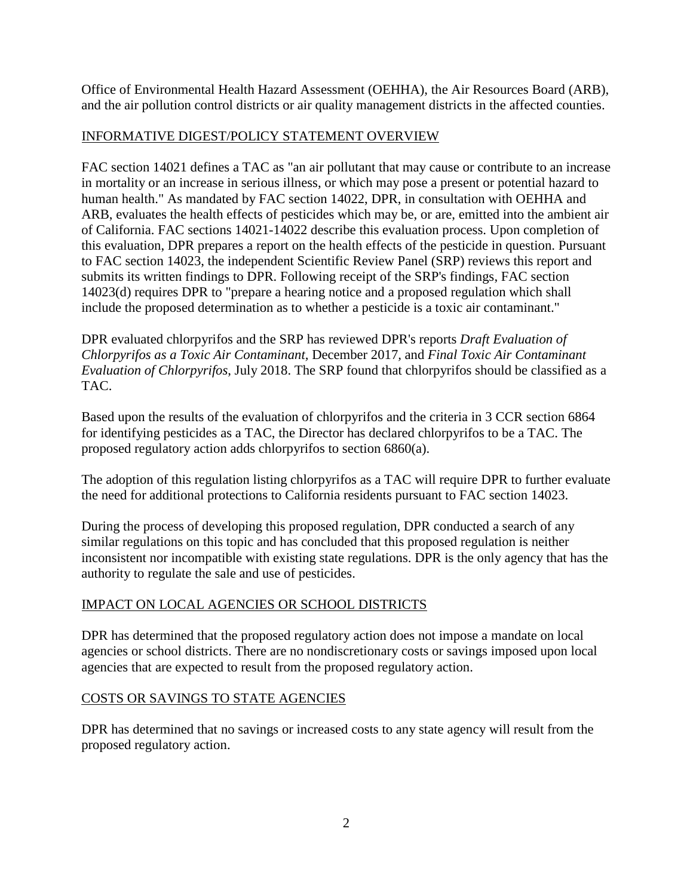Office of Environmental Health Hazard Assessment (OEHHA), the Air Resources Board (ARB), and the air pollution control districts or air quality management districts in the affected counties.

# INFORMATIVE DIGEST/POLICY STATEMENT OVERVIEW

FAC section 14021 defines a TAC as "an air pollutant that may cause or contribute to an increase in mortality or an increase in serious illness, or which may pose a present or potential hazard to human health." As mandated by FAC section 14022, DPR, in consultation with OEHHA and ARB, evaluates the health effects of pesticides which may be, or are, emitted into the ambient air of California. FAC sections 14021-14022 describe this evaluation process. Upon completion of this evaluation, DPR prepares a report on the health effects of the pesticide in question. Pursuant to FAC section 14023, the independent Scientific Review Panel (SRP) reviews this report and submits its written findings to DPR. Following receipt of the SRP's findings, FAC section 14023(d) requires DPR to "prepare a hearing notice and a proposed regulation which shall include the proposed determination as to whether a pesticide is a toxic air contaminant."

DPR evaluated chlorpyrifos and the SRP has reviewed DPR's reports *Draft Evaluation of Chlorpyrifos as a Toxic Air Contaminant,* December 2017*,* and *Final Toxic Air Contaminant Evaluation of Chlorpyrifos*, July 2018. The SRP found that chlorpyrifos should be classified as a TAC.

Based upon the results of the evaluation of chlorpyrifos and the criteria in 3 CCR section 6864 for identifying pesticides as a TAC, the Director has declared chlorpyrifos to be a TAC. The proposed regulatory action adds chlorpyrifos to section 6860(a).

The adoption of this regulation listing chlorpyrifos as a TAC will require DPR to further evaluate the need for additional protections to California residents pursuant to FAC section 14023.

During the process of developing this proposed regulation, DPR conducted a search of any similar regulations on this topic and has concluded that this proposed regulation is neither inconsistent nor incompatible with existing state regulations. DPR is the only agency that has the authority to regulate the sale and use of pesticides.

# IMPACT ON LOCAL AGENCIES OR SCHOOL DISTRICTS

DPR has determined that the proposed regulatory action does not impose a mandate on local agencies or school districts. There are no nondiscretionary costs or savings imposed upon local agencies that are expected to result from the proposed regulatory action.

# COSTS OR SAVINGS TO STATE AGENCIES

DPR has determined that no savings or increased costs to any state agency will result from the proposed regulatory action.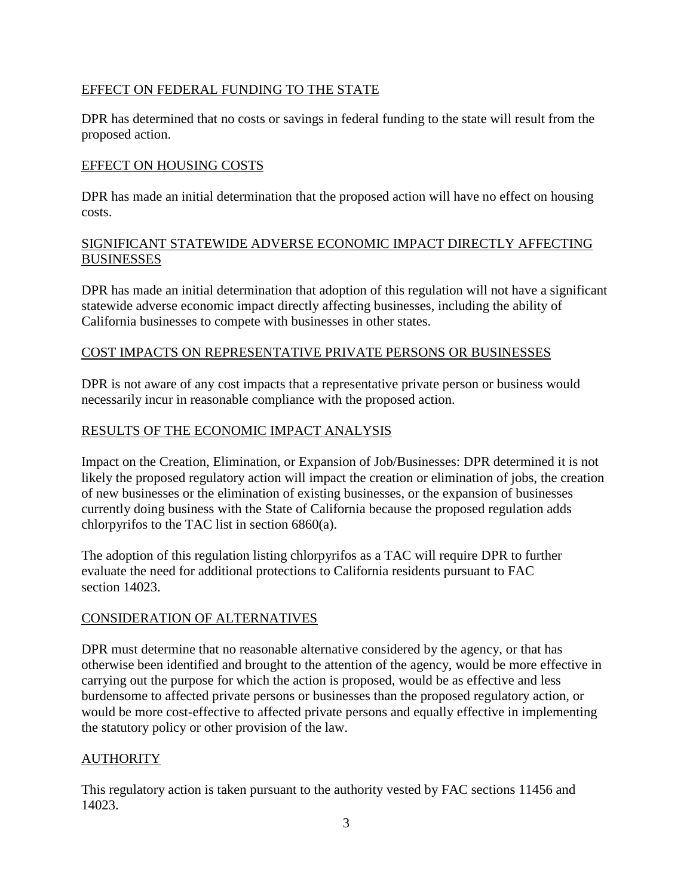# EFFECT ON FEDERAL FUNDING TO THE STATE

DPR has determined that no costs or savings in federal funding to the state will result from the proposed action.

## EFFECT ON HOUSING COSTS

DPR has made an initial determination that the proposed action will have no effect on housing costs.

## SIGNIFICANT STATEWIDE ADVERSE ECONOMIC IMPACT DIRECTLY AFFECTING BUSINESSES

DPR has made an initial determination that adoption of this regulation will not have a significant statewide adverse economic impact directly affecting businesses, including the ability of California businesses to compete with businesses in other states.

## COST IMPACTS ON REPRESENTATIVE PRIVATE PERSONS OR BUSINESSES

DPR is not aware of any cost impacts that a representative private person or business would necessarily incur in reasonable compliance with the proposed action.

## RESULTS OF THE ECONOMIC IMPACT ANALYSIS

Impact on the Creation, Elimination, or Expansion of Job/Businesses: DPR determined it is not likely the proposed regulatory action will impact the creation or elimination of jobs, the creation of new businesses or the elimination of existing businesses, or the expansion of businesses currently doing business with the State of California because the proposed regulation adds chlorpyrifos to the TAC list in section 6860(a).

The adoption of this regulation listing chlorpyrifos as a TAC will require DPR to further evaluate the need for additional protections to California residents pursuant to FAC section 14023.

## CONSIDERATION OF ALTERNATIVES

DPR must determine that no reasonable alternative considered by the agency, or that has otherwise been identified and brought to the attention of the agency, would be more effective in carrying out the purpose for which the action is proposed, would be as effective and less burdensome to affected private persons or businesses than the proposed regulatory action, or would be more cost-effective to affected private persons and equally effective in implementing the statutory policy or other provision of the law.

# **AUTHORITY**

This regulatory action is taken pursuant to the authority vested by FAC sections 11456 and 14023.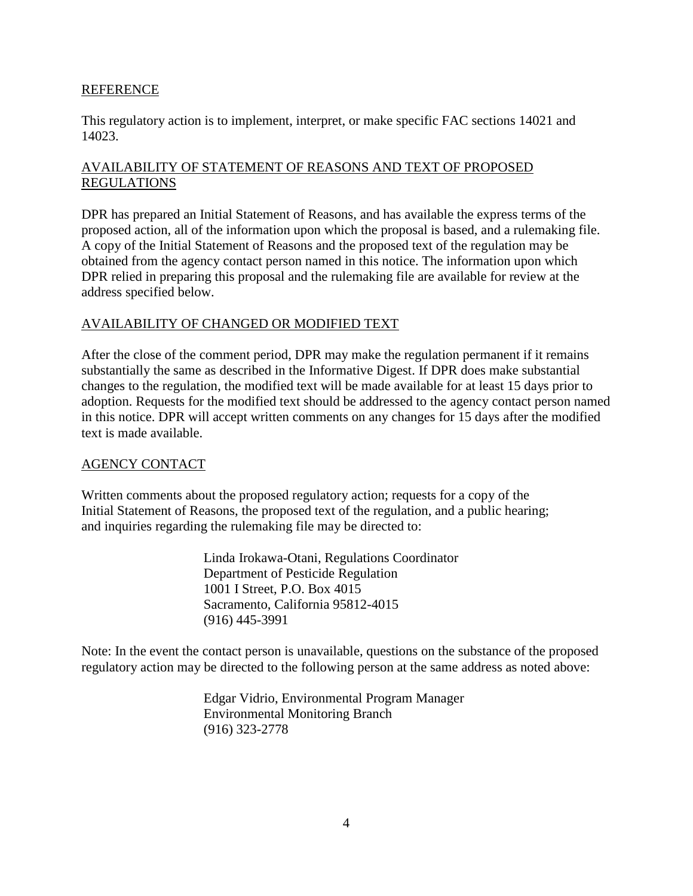#### REFERENCE

This regulatory action is to implement, interpret, or make specific FAC sections 14021 and 14023.

# AVAILABILITY OF STATEMENT OF REASONS AND TEXT OF PROPOSED REGULATIONS

DPR has prepared an Initial Statement of Reasons, and has available the express terms of the proposed action, all of the information upon which the proposal is based, and a rulemaking file. A copy of the Initial Statement of Reasons and the proposed text of the regulation may be obtained from the agency contact person named in this notice. The information upon which DPR relied in preparing this proposal and the rulemaking file are available for review at the address specified below.

## AVAILABILITY OF CHANGED OR MODIFIED TEXT

After the close of the comment period, DPR may make the regulation permanent if it remains substantially the same as described in the Informative Digest. If DPR does make substantial changes to the regulation, the modified text will be made available for at least 15 days prior to adoption. Requests for the modified text should be addressed to the agency contact person named in this notice. DPR will accept written comments on any changes for 15 days after the modified text is made available.

## AGENCY CONTACT

Written comments about the proposed regulatory action; requests for a copy of the Initial Statement of Reasons, the proposed text of the regulation, and a public hearing; and inquiries regarding the rulemaking file may be directed to:

> Linda Irokawa-Otani, Regulations Coordinator Department of Pesticide Regulation 1001 I Street, P.O. Box 4015 Sacramento, California 95812-4015 (916) 445-3991

Note: In the event the contact person is unavailable, questions on the substance of the proposed regulatory action may be directed to the following person at the same address as noted above:

> Edgar Vidrio, Environmental Program Manager Environmental Monitoring Branch (916) 323-2778